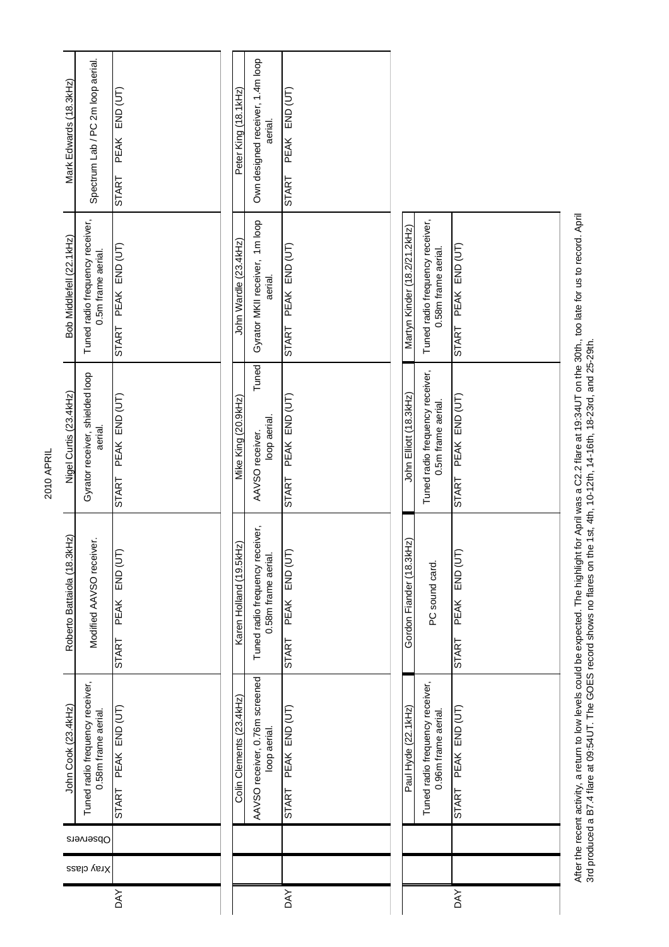|            |            |           | John Cook (23.4kHz)                                    | Roberto Battaiola (18.3kHz)                            | Nigel Curtis (23.4kHz)                                | Bob Middlefell (22.1kHz)                               | Mark Edwards (18.3kHz)                      |
|------------|------------|-----------|--------------------------------------------------------|--------------------------------------------------------|-------------------------------------------------------|--------------------------------------------------------|---------------------------------------------|
|            | Xray class | Observers | Tuned radio frequency receiver,<br>0.58m frame aerial. | Modified AAVSO receiver.                               | Gyrator receiver, shielded loop<br>aerial.            | Tuned radio frequency receiver,<br>0.5m frame aerial.  | Spectrum Lab / PC 2m loop aerial.           |
| <b>AY</b>  |            |           | PEAK END (UT)<br>START                                 | END (UT)<br>PEAK<br><b>START</b>                       | PEAK END (UT)<br><b>START</b>                         | START PEAK END (UT)                                    | END (UT)<br>PEAK<br>START                   |
|            |            |           |                                                        |                                                        |                                                       |                                                        |                                             |
|            |            |           | Colin Clements (23.4kHz)                               | Karen Holland (19.5kHz)                                | Mike King (20.9kHz)                                   | John Wardle (23.4kHz)                                  | Peter King (18.1kHz)                        |
|            |            |           | AAVSO receiver, 0.76m screened<br>loop aerial.         | Tuned radio frequency receiver,<br>0.58m frame aerial. | Tuned<br>loop aerial.<br>AAVSO receiver.              | Gyrator MKII receiver, 1m loop<br>aerial.              | Own designed receiver, 1.4m loop<br>aerial. |
| <b>DAY</b> |            |           | PEAK END (UT)<br><b>START</b>                          | IF<br><b>END (U</b><br><b>PEAK</b><br><b>START</b>     | PEAK END (UT)<br><b>START</b>                         | PEAK END (UT)<br><b>START</b>                          | PEAK END (UT)<br><b>START</b>               |
|            |            |           | Paul Hyde (22.1kHz)                                    | Gordon Fiander (18.3kHz)                               | John Elliott (18.3kHz)                                | Martyn Kinder (18.2/21.2kHz)                           |                                             |
|            |            |           | Tuned radio frequency receiver,<br>0.96m frame aerial. | PC sound card.                                         | Tuned radio frequency receiver,<br>0.5m frame aerial. | Tuned radio frequency receiver,<br>0.58m frame aerial. |                                             |
| <b>AY</b>  |            |           | PEAK END (UT)<br><b>START</b>                          | PEAK END (UT<br>START                                  | PEAK END (UT)<br><b>START</b>                         | PEAK END (UT)<br><b>START</b>                          |                                             |
|            |            |           |                                                        |                                                        |                                                       |                                                        |                                             |

After the recent activity, a return to low levels could be expected. The highlight for April was a C2.2 flare at 19:34UT on the 30th., too late for us to record. April<br>3rd produced a B7.4 flare at 09:54UT. The GOES record After the recent activity, a return to low levels could be expected. The highlight for April was a C2.2 flare at 19:34UT on the 30th., too late for us to record. April 3rd produced a B7.4 flare at 09:54UT. The GOES record shows no flares on the 1st, 4th, 10-12th, 14-16th, 18-23rd, and 25-29th.

2010 APRIL